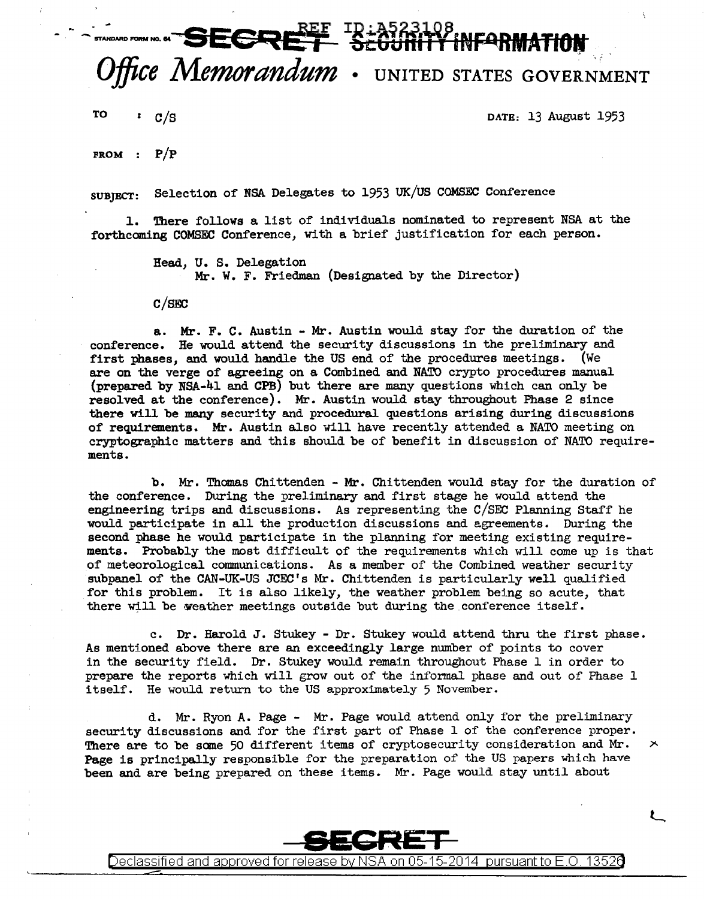**-SECRET IN: 252311** 

Office Memorandum . UNITED STATES GOVERNMENT

TO :  $C/S$  DATE: 13 August 1953

 $\zeta$ 

FROM :  $P/P$ 

SUBJECT: Selection of NSA Delegates to 1953 UK/US COMSEC Conference

l. There follows a list of individuals nominated to represent NSA at the forthcoming COMSEC Conference, with a brief justification for each person.

> Head, U. s. Delegation Mr. W. F. Friedman (Designated by the Director)

C/SFC

a. Mr. F. c. Austin - Mr. Austin would stay for the duration of the conference. He would attend the security discussions in the preliminary and first phases, and would handle the US end of the procedures meetings. (We are on the verge of agreeing on a Combined and NATO crypto procedures manual (prepared by NSA-41 and CPB) but there are many questions which can only be resolved at the conference). Mr. Austin would stay throughout Phase 2 since there will be many security and procedural questions arising during discussions of requirements. Mr. Austin also will have recently attended a NATO meeting on cryptographic matters and this should be of benefit in discussion of NATO requirements.

b. Mr. Thanas Chittenden - Mr. Chittenden would stay for the duration of the conference. During the preliminary and first stage he would attend the engineering trips and discussions. As representing the C/SEC Planning Staff he would participate in all the production discussions and agreements. During the second phase he would participate in the planning for meeting existing requirements. Probably the most difficult of the requirements which will come up is that of meteorological communications. As a member of the Combined weather security subpanel of the CAN-UK-US JCEC's Mr. Chittenden is particularly well qualified for this problem. It is also likely, the weather problem being so acute, that there will be weather meetings outside but during the conference itself.

c. Dr. Harold J. Stukey - Dr. Stukey would attend thru the first phase. As mentioned above there are an exceedingly large number of points to cover in the security field. Dr. Stukey would remain throughout Phase 1 in order to prepare the reports which will grow out of the inf'ormal phase and out of Phase 1 itself. He would return to the US approximately 5 November.

d. Mr. Ryon A. Page - Mr. Page would attend only for the preliminary security discussions and for the first part of Phase 1 of the conference proper. There are to be some 50 different items of cryptosecurity consideration and Mr.  $\times$ Page is principally responsible for the preparation of the US papers which have been and are being prepared on these items. Mr. Page would stay until about



Declassified and approved for release by NSA on 05-15-2014 pursuantto E .0. 1352a